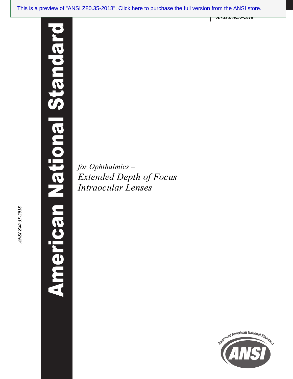[This is a preview of "ANSI Z80.35-2018". Click here to purchase the full version from the ANSI store.](https://webstore.ansi.org/Standards/VC (ASC Z80)/ANSIZ80352018?source=preview)

*Extended Depth of Focus*

*Intraocular Lenses*

*ANSI Z80.35-2018*

American National Standard *for Ophthalmics –*

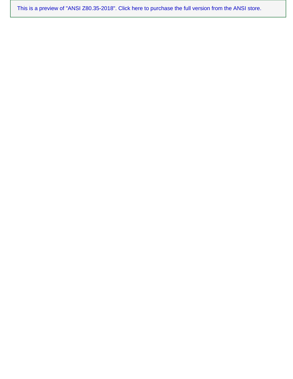[This is a preview of "ANSI Z80.35-2018". Click here to purchase the full version from the ANSI store.](https://webstore.ansi.org/Standards/VC (ASC Z80)/ANSIZ80352018?source=preview)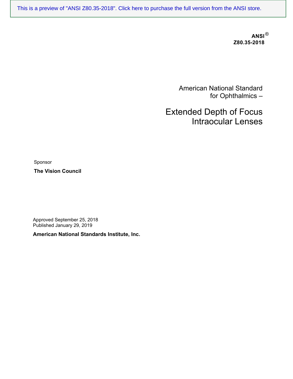[This is a preview of "ANSI Z80.35-2018". Click here to purchase the full version from the ANSI store.](https://webstore.ansi.org/Standards/VC (ASC Z80)/ANSIZ80352018?source=preview)

**ANSI** ® **Z80.35-2018**

American National Standard for Ophthalmics –

Extended Depth of Focus Intraocular Lenses

Sponsor

**The Vision Council**

Approved September 25, 2018 Published January 29, 2019

**American National Standards Institute, Inc.**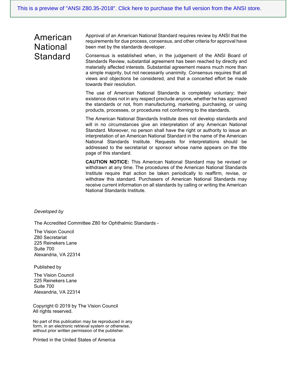# American National **Standard**

Approval of an American National Standard requires review by ANSI that the requirements for due process, consensus, and other criteria for approval have been met by the standards developer.

Consensus is established when, in the judgement of the ANSI Board of Standards Review, substantial agreement has been reached by directly and materially affected interests. Substantial agreement means much more than a simple majority, but not necessarily unanimity. Consensus requires that all views and objections be considered, and that a concerted effort be made towards their resolution.

The use of American National Standards is completely voluntary; their existence does not in any respect preclude anyone, whether he has approved the standards or not, from manufacturing, marketing, purchasing, or using products, processes, or procedures not conforming to the standards.

The American National Standards Institute does not develop standards and will in no circumstances give an interpretation of any American National Standard. Moreover, no person shall have the right or authority to issue an interpretation of an American National Standard in the name of the American National Standards Institute. Requests for interpretations should be addressed to the secretariat or sponsor whose name appears on the title page of this standard.

**CAUTION NOTICE:** This American National Standard may be revised or withdrawn at any time. The procedures of the American National Standards Institute require that action be taken periodically to reaffirm, revise, or withdraw this standard. Purchasers of American National Standards may receive current information on all standards by calling or writing the American National Standards Institute.

#### *Developed by*

The Accredited Committee Z80 for Ophthalmic Standards -

The Vision Council Z80 Secretariat 225 Reinekers Lane Suite 700 Alexandria, VA 22314

Published by

The Vision Council 225 Reinekers Lane Suite 700 Alexandria, VA 22314

Copyright © 2019 by The Vision Council All rights reserved.

No part of this publication may be reproduced in any form, in an electronic retrieval system or otherwise, without prior written permission of the publisher.

Printed in the United States of America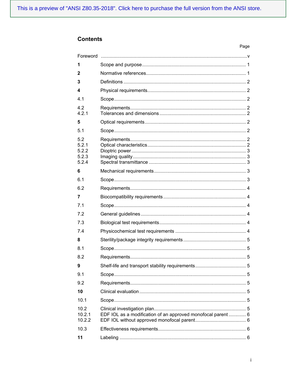## **Contents**

|                                         | Page                                                         |   |
|-----------------------------------------|--------------------------------------------------------------|---|
| Foreword                                |                                                              |   |
| 1                                       |                                                              |   |
| 2                                       |                                                              |   |
| 3                                       |                                                              |   |
| 4                                       |                                                              |   |
| 4.1                                     |                                                              |   |
| 4.2<br>4.2.1                            |                                                              |   |
| 5                                       |                                                              |   |
| 5.1                                     |                                                              |   |
| 5.2<br>5.2.1<br>5.2.2<br>5.2.3<br>5.2.4 |                                                              |   |
| 6                                       |                                                              |   |
| 6.1                                     |                                                              |   |
| 6.2                                     |                                                              |   |
| 7                                       |                                                              |   |
| 7.1                                     |                                                              |   |
| 7.2                                     |                                                              |   |
| 7.3                                     |                                                              |   |
| 7.4                                     |                                                              |   |
| 8                                       |                                                              |   |
| 8.1                                     |                                                              |   |
| 8.2                                     | Requirements.                                                | 5 |
| 9                                       |                                                              |   |
| 9.1                                     |                                                              |   |
| 9.2                                     |                                                              |   |
| 10                                      |                                                              |   |
| 10.1                                    |                                                              |   |
| 10.2<br>10.2.1<br>10.2.2                | EDF IOL as a modification of an approved monofocal parent  6 |   |
| 10.3                                    |                                                              |   |
| 11                                      |                                                              |   |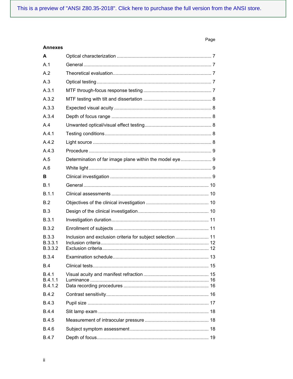### Page

| <b>Annexes</b>                     |                                                            |
|------------------------------------|------------------------------------------------------------|
| A                                  |                                                            |
| A <sub>1</sub>                     |                                                            |
| A.2                                |                                                            |
| A.3                                |                                                            |
| A.3.1                              |                                                            |
| A.3.2                              |                                                            |
| A.3.3                              |                                                            |
| A.3.4                              |                                                            |
| A.4                                |                                                            |
| A.4.1                              |                                                            |
| A.4.2                              |                                                            |
| A.4.3                              |                                                            |
| A.5                                | Determination of far image plane within the model eye 9    |
| A.6                                |                                                            |
| В                                  |                                                            |
| B.1                                |                                                            |
| B.1.1                              |                                                            |
| <b>B.2</b>                         |                                                            |
| <b>B.3</b>                         |                                                            |
| <b>B.3.1</b>                       |                                                            |
| <b>B.3.2</b>                       |                                                            |
| <b>B.3.3</b><br>B.3.3.1<br>B.3.3.2 | Inclusion and exclusion criteria for subject selection  11 |
| <b>B.3.4</b>                       |                                                            |
| B.4                                |                                                            |
| B.4.1<br>B.4.1.1<br>B.4.1.2        |                                                            |
| B.4.2                              |                                                            |
| <b>B.4.3</b>                       |                                                            |
| <b>B.4.4</b>                       |                                                            |
| <b>B.4.5</b>                       |                                                            |
| B.4.6                              |                                                            |
| <b>B.4.7</b>                       |                                                            |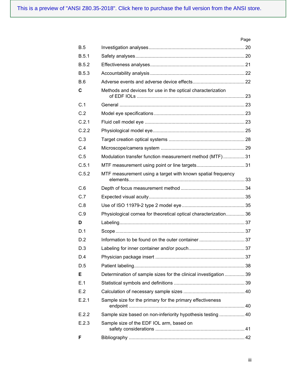|              |                                                                  | Page |
|--------------|------------------------------------------------------------------|------|
| B.5          |                                                                  |      |
| B.5.1        |                                                                  |      |
| B.5.2        |                                                                  |      |
| <b>B.5.3</b> |                                                                  |      |
| B.6          |                                                                  |      |
| C            | Methods and devices for use in the optical characterization      |      |
| C.1          |                                                                  |      |
| C.2          |                                                                  |      |
| C.2.1        |                                                                  |      |
| C.2.2        |                                                                  |      |
| C.3          |                                                                  |      |
| C.4          |                                                                  |      |
| C.5          | Modulation transfer function measurement method (MTF) 31         |      |
| C.5.1        |                                                                  |      |
| C.5.2        | MTF measurement using a target with known spatial frequency      |      |
| C.6          |                                                                  |      |
| C.7          |                                                                  |      |
| C.8          |                                                                  |      |
| C.9          | Physiological cornea for theoretical optical characterization 36 |      |
| D            |                                                                  |      |
| D.1          |                                                                  |      |
| D.2          |                                                                  |      |
| D.3          |                                                                  |      |
| D.4          |                                                                  |      |
| D.5          |                                                                  |      |
| Е            | Determination of sample sizes for the clinical investigation  39 |      |
| E.1          |                                                                  |      |
| E.2          |                                                                  |      |
| E.2.1        | Sample size for the primary for the primary effectiveness        |      |
| E.2.2        | Sample size based on non-inferiority hypothesis testing  40      |      |
| E.2.3        | Sample size of the EDF IOL arm, based on                         |      |
| F            |                                                                  |      |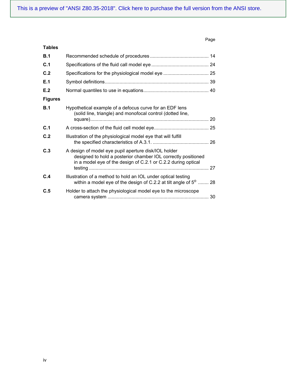#### Page

| <b>Tables</b>  |                                                                                                                                                                                        |  |
|----------------|----------------------------------------------------------------------------------------------------------------------------------------------------------------------------------------|--|
| B.1            |                                                                                                                                                                                        |  |
| C.1            |                                                                                                                                                                                        |  |
| C.2            |                                                                                                                                                                                        |  |
| E.1            |                                                                                                                                                                                        |  |
| E.2            |                                                                                                                                                                                        |  |
| <b>Figures</b> |                                                                                                                                                                                        |  |
| B.1            | Hypothetical example of a defocus curve for an EDF lens<br>(solid line, triangle) and monofocal control (dotted line,                                                                  |  |
| C.1            |                                                                                                                                                                                        |  |
| C.2            | Illustration of the physiological model eye that will fulfill                                                                                                                          |  |
| C.3            | A design of model eye pupil aperture disk/IOL holder<br>designed to hold a posterior chamber IOL correctly positioned<br>in a model eye of the design of C.2.1 or C.2.2 during optical |  |
| C.4            | Illustration of a method to hold an IOL under optical testing<br>within a model eye of the design of C.2.2 at tilt angle of $5^{\circ}$ 28                                             |  |
| C.5            | Holder to attach the physiological model eye to the microscope                                                                                                                         |  |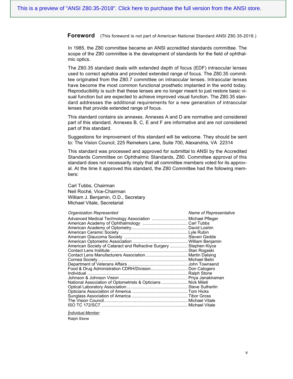**Foreword** (This foreword is not part of American National Standard ANSI Z80.35-2018.)

In 1985, the Z80 committee became an ANSI accredited standards committee. The scope of the Z80 committee is the development of standards for the field of ophthalmic optics.

The Z80.35 standard deals with extended depth of focus (EDF) intraocular lenses used to correct aphakia and provided extended range of focus. The Z80.35 committee originated from the Z80.7 committee on intraocular lenses. Intraocular lenses have become the most common functional prosthetic implanted in the world today. Reproducibility is such that these lenses are no longer meant to just restore basic visual function but are expected to achieve improved visual function. The Z80.35 standard addresses the additional requirements for a new generation of intraocular lenses that provide extended range of focus.

This standard contains six annexes. Annexes A and D are normative and considered part of this standard. Annexes B, C, E and F are informative and are not considered part of this standard.

Suggestions for improvement of this standard will be welcome. They should be sent to: The Vision Council, 225 Reinekers Lane, Suite 700, Alexandria, VA 22314

This standard was processed and approved for submittal to ANSI by the Accredited Standards Committee on Ophthalmic Standards, Z80. Committee approval of this standard does not necessarily imply that all committee members voted for its approval. At the time it approved this standard, the Z80 Committee had the following members:

Carl Tubbs, Chairman Neil Roché, Vice-Chairman William J. Benjamin, O.D., Secretary Michael Vitale, Secretariat

| <b>Organization Represented</b>                                    | Name of Representative |
|--------------------------------------------------------------------|------------------------|
|                                                                    |                        |
|                                                                    |                        |
|                                                                    |                        |
|                                                                    |                        |
|                                                                    |                        |
|                                                                    |                        |
| American Society of Cataract and Refractive Surgery  Stephen Klyce |                        |
|                                                                    |                        |
|                                                                    |                        |
|                                                                    |                        |
|                                                                    |                        |
|                                                                    |                        |
|                                                                    |                        |
|                                                                    |                        |
| National Association of Optometrists & Opticians  Nick Mileti      |                        |
|                                                                    |                        |
|                                                                    |                        |
|                                                                    |                        |
|                                                                    |                        |
|                                                                    |                        |

*Individual Member*

Ralph Stone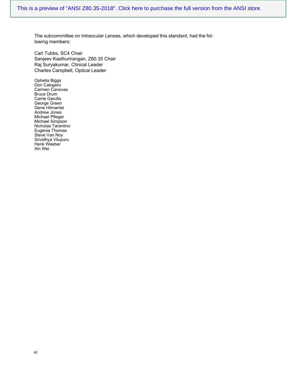The subcommittee on Intraocular Lenses, which developed this standard, had the following members:

Carl Tubbs, SC4 Chair Sanjeev Kasthurirangan, Z80.35 Chair Raj Suryakumar, Clinical Leader Charles Campbell, Optical Leader

Ophelia Biggs Don Calogero Carmen Canovas Bruce Drum Carrie Garufis George Green Gene Hilmantel Andrew Jones Michael Pfleger Michael Simpson Nicholas Tarantino Eugenia Thomas Steve Van Noy Srividhya Vilupuru Henk Weeber Xin Wei